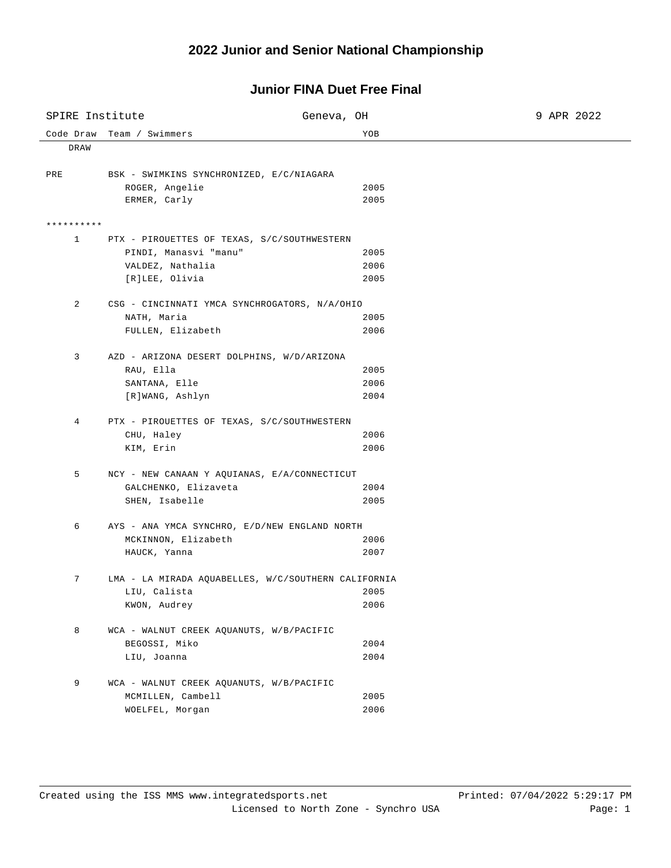## **2022 Junior and Senior National Championship**

## **Junior FINA Duet Free Final**

| SPIRE Institute |                                                     | Geneva, OH   | 9 APR 2022 |  |  |
|-----------------|-----------------------------------------------------|--------------|------------|--|--|
| Code Draw       | Team / Swimmers                                     | YOB          |            |  |  |
| DRAW            |                                                     |              |            |  |  |
|                 |                                                     |              |            |  |  |
| PRE             | BSK - SWIMKINS SYNCHRONIZED, E/C/NIAGARA            |              |            |  |  |
|                 | ROGER, Angelie<br>ERMER, Carly                      | 2005<br>2005 |            |  |  |
|                 |                                                     |              |            |  |  |
| **********      |                                                     |              |            |  |  |
| $\mathbf{1}$    | PTX - PIROUETTES OF TEXAS, S/C/SOUTHWESTERN         |              |            |  |  |
|                 | PINDI, Manasvi "manu"                               | 2005         |            |  |  |
|                 | VALDEZ, Nathalia                                    | 2006         |            |  |  |
|                 | [R]LEE, Olivia                                      | 2005         |            |  |  |
| 2               | CSG - CINCINNATI YMCA SYNCHROGATORS, N/A/OHIO       |              |            |  |  |
|                 | NATH, Maria                                         | 2005         |            |  |  |
|                 | FULLEN, Elizabeth                                   | 2006         |            |  |  |
|                 |                                                     |              |            |  |  |
| 3               | AZD - ARIZONA DESERT DOLPHINS, W/D/ARIZONA          |              |            |  |  |
|                 | RAU, Ella                                           | 2005         |            |  |  |
|                 | SANTANA, Elle                                       | 2006         |            |  |  |
|                 | [R]WANG, Ashlyn                                     | 2004         |            |  |  |
| 4               | PTX - PIROUETTES OF TEXAS, S/C/SOUTHWESTERN         |              |            |  |  |
|                 | CHU, Haley                                          | 2006         |            |  |  |
|                 | KIM, Erin                                           | 2006         |            |  |  |
|                 |                                                     |              |            |  |  |
| 5               | NCY - NEW CANAAN Y AQUIANAS, E/A/CONNECTICUT        |              |            |  |  |
|                 | GALCHENKO, Elizaveta<br>SHEN, Isabelle              | 2004<br>2005 |            |  |  |
|                 |                                                     |              |            |  |  |
| 6               | AYS - ANA YMCA SYNCHRO, E/D/NEW ENGLAND NORTH       |              |            |  |  |
|                 | MCKINNON, Elizabeth                                 | 2006         |            |  |  |
|                 | HAUCK, Yanna                                        | 2007         |            |  |  |
| 7               | LMA - LA MIRADA AQUABELLES, W/C/SOUTHERN CALIFORNIA |              |            |  |  |
|                 | LIU, Calista                                        | 2005         |            |  |  |
|                 | KWON, Audrey                                        | 2006         |            |  |  |
|                 |                                                     |              |            |  |  |
| 8               | WCA - WALNUT CREEK AQUANUTS, W/B/PACIFIC            |              |            |  |  |
|                 | BEGOSSI, Miko                                       | 2004         |            |  |  |
|                 | LIU, Joanna                                         | 2004         |            |  |  |
| 9               | WCA - WALNUT CREEK AQUANUTS, W/B/PACIFIC            |              |            |  |  |
|                 | MCMILLEN, Cambell                                   | 2005         |            |  |  |
|                 | WOELFEL, Morgan                                     | 2006         |            |  |  |
|                 |                                                     |              |            |  |  |